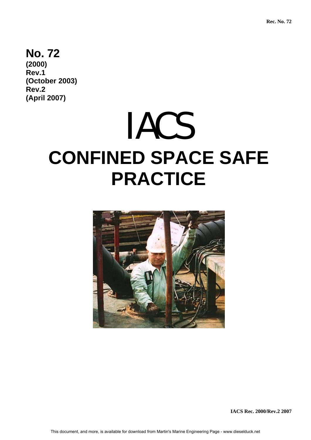# **No. 72**

**(2000) Rev.1 (October 2003) Rev.2 (April 2007)** 

# IACS **CONFINED SPACE SAFE PRACTICE**



**IACS Rec. 2000/Rev.2 2007**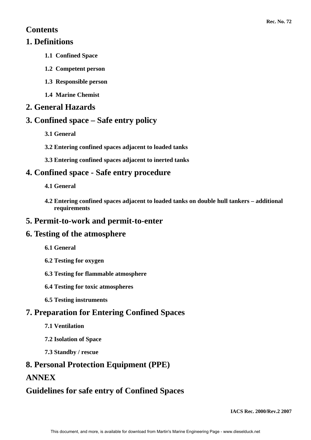# **Contents**

# **1. Definitions**

- **1.1 Confined Space**
- **1.2 Competent person**
- **1.3 Responsible person**
- **1.4 Marine Chemist**

# **2. General Hazards**

# **3. Confined space – Safe entry policy**

- **3.1 General**
- **3.2 Entering confined spaces adjacent to loaded tanks**
- **3.3 Entering confined spaces adjacent to inerted tanks**

# **4. Confined space - Safe entry procedure**

- **4.1 General**
- **4.2 Entering confined spaces adjacent to loaded tanks on double hull tankers additional requirements**

# **5. Permit-to-work and permit-to-enter**

# **6. Testing of the atmosphere**

- **6.1 General**
- **6.2 Testing for oxygen**
- **6.3 Testing for flammable atmosphere**
- **6.4 Testing for toxic atmospheres**
- **6.5 Testing instruments**

# **7. Preparation for Entering Confined Spaces**

- **7.1 Ventilation**
- **7.2 Isolation of Space**
- **7.3 Standby / rescue**

# **8. Personal Protection Equipment (PPE)**

# **ANNEX**

# **Guidelines for safe entry of Confined Spaces**

**IACS Rec. 2000/Rev.2 2007**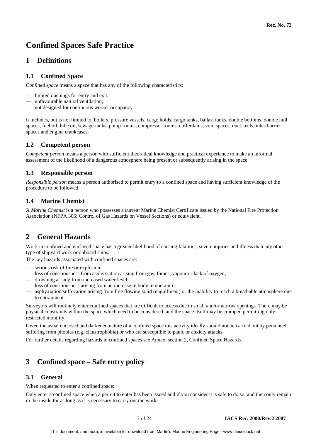# **Confined Spaces Safe Practice**

# **1 Definitions**

# **1.1 Confined Space**

*Confined space* means a space that has any of the following characteristics:

- limited openings for entry and exit;
- unfavourable natural ventilation;
- not designed for continuous worker occupancy.

It includes, but is not limited to, boilers, pressure vessels, cargo holds, cargo tanks, ballast tanks, double bottoms, double hull spaces, fuel oil, lube oil, sewage-tanks, pump-rooms, compressor rooms, cofferdams, void spaces, duct keels, inter-barrier spaces and engine crankcases.

## **1.2 Competent person**

*Competent person* means a person with sufficient theoretical knowledge and practical experience to make an informal assessment of the likelihood of a dangerous atmosphere being present or subsequently arising in the space.

## **1.3 Responsible person**

*Responsible person* means a person authorised to permit entry to a confined space and having sufficient knowledge of the procedure to be followed.

## **1.4 Marine Chemist**

A *Marine Chemist* is a person who possesses a current Marine Chemist Certificate issued by the National Fire Protection Association (NFPA 306: Control of Gas Hazards on Vessel Sections) or equivalent.

# **2 General Hazards**

Work in confined and enclosed space has a greater likelihood of causing fatalities, severe injuries and illness than any other type of shipyard work or onboard ships.

The key hazards associated with confined spaces are:

- serious risk of fire or explosion;
- loss of consciousness from asphyxiation arising from gas, fumes, vapour or lack of oxygen;
- drowning arising from increased water level;
- loss of consciousness arising from an increase in body temperature;
- asphyxiation/suffocation arising from free flowing solid (engulfment) or the inability to reach a breathable atmosphere due to entrapment.

Surveyors will routinely enter confined spaces that are difficult to access due to small and/or narrow openings. There may be physical constraints within the space which need to be considered, and the space itself may be cramped permitting only restricted mobility.

Given the usual enclosed and darkened nature of a confined space this activity ideally should not be carried out by personnel suffering from phobias (e.g. claustrophobia) or who are susceptible to panic or anxiety attacks.

For further details regarding hazards in confined spaces see Annex, section 2, Confined Space Hazards.

# **3 Confined space – Safe entry policy**

## **3.1 General**

When requested to enter a confined space:

Only enter a confined space when a permit to enter has been issued and if you consider it is safe to do so, and then only remain in the inside for as long as it is necessary to carry out the work.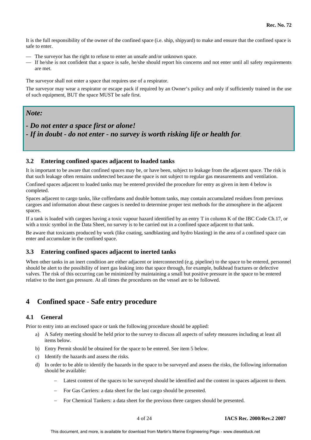It is the full responsibility of the owner of the confined space (i.e. ship, shipyard) to make and ensure that the confined space is safe to enter.

- The surveyor has the right to refuse to enter an unsafe and/or unknown space.
- If he/she is not confident that a space is safe, he/she should report his concerns and not enter until all safety requirements are met.

The surveyor shall not enter a space that requires use of a respirator.

The surveyor may wear a respirator or escape pack if required by an Owner's policy and only if sufficiently trained in the use of such equipment, BUT the space MUST be safe first.

# *Note:*

*- Do not enter a space first or alone! - If in doubt - do not enter - no survey is worth risking life or health for*.

#### **3.2 Entering confined spaces adjacent to loaded tanks**

It is important to be aware that confined spaces may be, or have been, subject to leakage from the adjacent space. The risk is that such leakage often remains undetected because the space is not subject to regular gas measurements and ventilation.

Confined spaces adjacent to loaded tanks may be entered provided the procedure for entry as given in item 4 below is completed.

Spaces adjacent to cargo tanks, like cofferdams and double bottom tanks, may contain accumulated residues from previous cargoes and information about these cargoes is needed to determine proper test methods for the atmosphere in the adjacent spaces.

If a tank is loaded with cargoes having a toxic vapour hazard identified by an entry T in column K of the IBC Code Ch.17, or with a toxic symbol in the Data Sheet, no survey is to be carried out in a confined space adjacent to that tank.

Be aware that toxicants produced by work (like coating, sandblasting and hydro blasting) in the area of a confined space can enter and accumulate in the confined space.

#### **3.3 Entering confined spaces adjacent to inerted tanks**

When other tanks in an inert condition are either adjacent or interconnected (e.g. pipeline) to the space to be entered, personnel should be alert to the possibility of inert gas leaking into that space through, for example, bulkhead fractures or defective valves. The risk of this occurring can be minimized by maintaining a small but positive pressure in the space to be entered relative to the inert gas pressure. At all times the procedures on the vessel are to be followed.

# **4 Confined space - Safe entry procedure**

## **4.1 General**

Prior to entry into an enclosed space or tank the following procedure should be applied:

- a) A Safety meeting should be held prior to the survey to discuss all aspects of safety measures including at least all items below.
- b) Entry Permit should be obtained for the space to be entered. See item 5 below.
- c) Identify the hazards and assess the risks.
- d) In order to be able to identify the hazards in the space to be surveyed and assess the risks, the following information should be available:
	- Latest content of the spaces to be surveyed should be identified and the content in spaces adjacent to them.
	- − For Gas Carriers: a data sheet for the last cargo should be presented.
	- For Chemical Tankers: a data sheet for the previous three cargoes should be presented.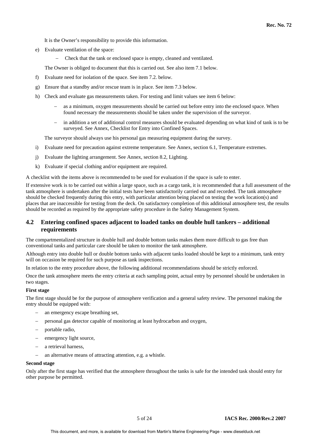It is the Owner's responsibility to provide this information.

- e) Evaluate ventilation of the space:
	- Check that the tank or enclosed space is empty, cleaned and ventilated.

The Owner is obliged to document that this is carried out. See also item 7.1 below.

- f) Evaluate need for isolation of the space. See item 7.2. below.
- g) Ensure that a standby and/or rescue team is in place. See item 7.3 below.
- h) Check and evaluate gas measurements taken. For testing and limit values see item 6 below:
	- − as a minimum, oxygen measurements should be carried out before entry into the enclosed space. When found necessary the measurements should be taken under the supervision of the surveyor.
	- in addition a set of additional control measures should be evaluated depending on what kind of tank is to be surveyed. See Annex, Checklist for Entry into Confined Spaces.

The surveyor should always use his personal gas measuring equipment during the survey.

- i) Evaluate need for precaution against extreme temperature. See Annex, section 6.1, Temperature extremes.
- j) Evaluate the lighting arrangement. See Annex, section 8.2, Lighting.
- k) Evaluate if special clothing and/or equipment are required.

A checklist with the items above is recommended to be used for evaluation if the space is safe to enter.

If extensive work is to be carried out within a large space, such as a cargo tank, it is recommended that a full assessment of the tank atmosphere is undertaken after the initial tests have been satisfactorily carried out and recorded. The tank atmosphere should be checked frequently during this entry, with particular attention being placed on testing the work location(s) and places that are inaccessible for testing from the deck. On satisfactory completion of this additional atmosphere test, the results should be recorded as required by the appropriate safety procedure in the Safety Management System.

#### **4.2 Entering confined spaces adjacent to loaded tanks on double hull tankers – additional requirements**

The compartmentalized structure in double hull and double bottom tanks makes them more difficult to gas free than conventional tanks and particular care should be taken to monitor the tank atmosphere.

Although entry into double hull or double bottom tanks with adjacent tanks loaded should be kept to a minimum, tank entry will on occasion be required for such purpose as tank inspections.

In relation to the entry procedure above, the following additional recommendations should be strictly enforced.

Once the tank atmosphere meets the entry criteria at each sampling point, actual entry by personnel should be undertaken in two stages.

#### **First stage**

The first stage should be for the purpose of atmosphere verification and a general safety review. The personnel making the entry should be equipped with:

- an emergency escape breathing set.
- personal gas detector capable of monitoring at least hydrocarbon and oxygen,
- portable radio,
- emergency light source,
- a retrieval harness,
- an alternative means of attracting attention, e.g. a whistle.

#### **Second stage**

Only after the first stage has verified that the atmosphere throughout the tanks is safe for the intended task should entry for other purpose be permitted.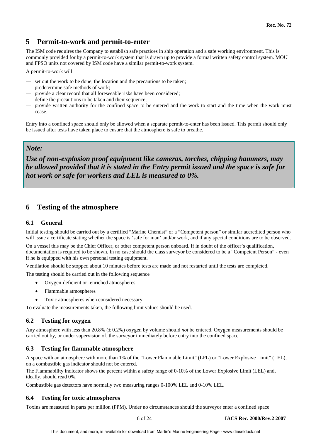# **5 Permit-to-work and permit-to-enter**

The ISM code requires the Company to establish safe practices in ship operation and a safe working environment. This is commonly provided for by a permit-to-work system that is drawn up to provide a formal written safety control system. MOU and FPSO units not covered by ISM code have a similar permit-to-work system.

A permit-to-work will:

- set out the work to be done, the location and the precautions to be taken;
- predetermine safe methods of work;
- provide a clear record that all foreseeable risks have been considered;
- define the precautions to be taken and their sequence;
- provide written authority for the confined space to be entered and the work to start and the time when the work must cease.

Entry into a confined space should only be allowed when a separate permit-to-enter has been issued. This permit should only be issued after tests have taken place to ensure that the atmosphere is safe to breathe.

# *Note:*

*Use of non-explosion proof equipment like cameras, torches, chipping hammers, may be allowed provided that it is stated in the Entry permit issued and the space is safe for hot work or safe for workers and LEL is measured to 0%.* 

# **6 Testing of the atmosphere**

## **6.1 General**

Initial testing should be carried out by a certified "Marine Chemist" or a "Competent person" or similar accredited person who will issue a certificate stating whether the space is 'safe for man' and/or work, and if any special conditions are to be observed.

On a vessel this may be the Chief Officer, or other competent person onboard. If in doubt of the officer's qualification, documentation is required to be shown. In no case should the class surveyor be considered to be a "Competent Person" - even if he is equipped with his own personal testing equipment.

Ventilation should be stopped about 10 minutes before tests are made and not restarted until the tests are completed.

The testing should be carried out in the following sequence

- Oxygen-deficient or -enriched atmospheres
- Flammable atmospheres
- Toxic atmospheres when considered necessary

To evaluate the measurements taken, the following limit values should be used.

## **6.2 Testing for oxygen**

Any atmosphere with less than 20.8% (± 0.2%) oxygen by volume should *not* be entered. Oxygen measurements should be carried out by, or under supervision of, the surveyor immediately before entry into the confined space.

## **6.3 Testing for flammable atmosphere**

A space with an atmosphere with more than 1% of the "Lower Flammable Limit" (LFL) or "Lower Explosive Limit" (LEL), on a combustible gas indicator should not be entered.

The Flammability indicator shows the percent within a safety range of 0-10% of the Lower Explosive Limit (LEL) and, ideally, should read 0%.

Combustible gas detectors have normally two measuring ranges 0-100% LEL and 0-10% LEL.

# **6.4 Testing for toxic atmospheres**

Toxins are measured in parts per million (PPM). Under no circumstances should the surveyor enter a confined space

6 of 24 **IACS Rec. 2000/Rev.2 2007**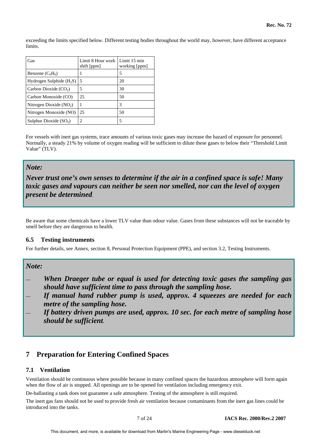exceeding the limits specified below. Different testing bodies throughout the world may, however, have different acceptance **limits** 

| Gas                        | Limit 8 Hour work<br>shift [ppm] | Limit 15 min<br>working [ppm] |
|----------------------------|----------------------------------|-------------------------------|
| Benzene $(C_6H_6)$         |                                  | 5                             |
| Hydrogen Sulphide $(H_2S)$ | 5                                | 20                            |
| Carbon Dioxide $(CO2)$     | 5                                | 30                            |
| Carbon Monoxide (CO)       | 25                               | 50                            |
| Nitrogen Dioxide $(NO2)$   |                                  | 3                             |
| Nitrogen Monoxide (NO)     | 25                               | 50                            |
| Sulphur Dioxide $(SO2)$    | 2                                |                               |

For vessels with inert gas systems, trace amounts of various toxic gases may increase the hazard of exposure for personnel. Normally, a steady 21% by volume of oxygen reading will be sufficient to dilute these gases to below their "Threshold Limit Value" (TLV).

# *Note:*

*Never trust one's own senses to determine if the air in a confined space is safe! Many toxic gases and vapours can neither be seen nor smelled, nor can the level of oxygen present be determined.* 

Be aware that some chemicals have a lower TLV value than odour value. Gases from these substances will not be traceable by smell before they are dangerous to health.

## **6.5 Testing instruments**

For further details, see Annex, section 8, Personal Protection Equipment (PPE), and section 3.2, Testing Instruments.

# *Note:*

— *When Draeger tube or equal is used for detecting toxic gases the sampling gas should have sufficient time to pass through the sampling hose.* 

- *If manual hand rubber pump is used, approx. 4 squeezes are needed for each metre of the sampling hose.*
- *If battery driven pumps are used, approx. 10 sec. for each metre of sampling hose should be sufficient***.**

# **7 Preparation for Entering Confined Spaces**

## **7.1 Ventilation**

Ventilation should be continuous where possible because in many confined spaces the hazardous atmosphere will form again when the flow of air is stopped. All openings are to be opened for ventilation including emergency exit.

De-ballasting a tank does not guarantee a safe atmosphere. Testing of the atmosphere is still required.

The inert gas fans should not be used to provide fresh air ventilation because contaminants from the inert gas lines could be introduced into the tanks.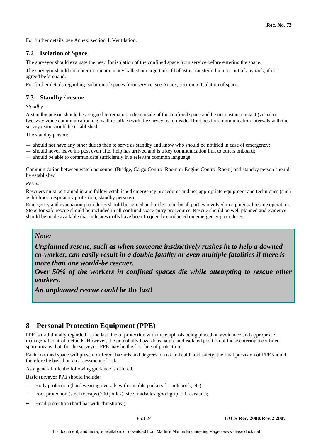For further details, see Annex, section 4, Ventilation.

#### **7.2 Isolation of Space**

The surveyor should evaluate the need for isolation of the confined space from service before entering the space.

The surveyor should not enter or remain in any ballast or cargo tank if ballast is transferred into or out of any tank, if not agreed beforehand.

For further details regarding isolation of spaces from service, see Annex, section 5, Isolation of space.

## **7.3 Standby / rescue**

*Standby* 

A standby person should be assigned to remain on the outside of the confined space and be in constant contact (visual or two-way voice communication e.g. walkie-talkie) with the survey team inside. Routines for communication intervals with the survey team should be established.

The standby person:

- should not have any other duties than to serve as standby and know who should be notified in case of emergency;
- should never leave his post even after help has arrived and is a key communication link to others onboard;

— should be able to communicate sufficiently in a relevant common language.

Communication between watch personnel (Bridge, Cargo Control Room or Engine Control Room) and standby person should be established.

#### *Rescue*

Rescuers must be trained in and follow established emergency procedures and use appropriate equipment and techniques (such as lifelines, respiratory protection, standby persons).

Emergency and evacuation procedures should be agreed and understood by all parties involved in a potential rescue operation. Steps for safe rescue should be included in all confined space entry procedures. Rescue should be well planned and evidence should be made available that indicates drills have been frequently conducted on emergency procedures.

# *Note:*

*Unplanned rescue, such as when someone instinctively rushes in to help a downed co-worker, can easily result in a double fatality or even multiple fatalities if there is more than one would-be rescuer.* 

*Over 50% of the workers in confined spaces die while attempting to rescue other workers.* 

*An unplanned rescue could be the last!*

# **8 Personal Protection Equipment (PPE)**

PPE is traditionally regarded as the last line of protection with the emphasis being placed on avoidance and appropriate managerial control methods. However, the potentially hazardous nature and isolated position of those entering a confined space means that, for the surveyor, PPE may be the first line of protection.

Each confined space will present different hazards and degrees of risk to health and safety, the final provision of PPE should therefore be based on an assessment of risk.

As a general rule the following guidance is offered.

Basic surveyor PPE should include:

- Body protection (hard wearing overalls with suitable pockets for notebook, etc);
- Foot protection (steel toecaps (200 joules), steel midsoles, good grip, oil resistant);
- Head protection (hard hat with chinstraps);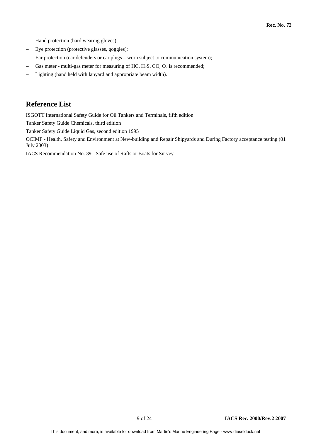- Hand protection (hard wearing gloves);
- − Eye protection (protective glasses, goggles);
- − Ear protection (ear defenders or ear plugs worn subject to communication system);
- − Gas meter multi-gas meter for measuring of HC, H<sub>2</sub>S, CO, O<sub>2</sub> is recommended;
- Lighting (hand held with lanyard and appropriate beam width).

# **Reference List**

ISGOTT International Safety Guide for Oil Tankers and Terminals, fifth edition.

Tanker Safety Guide Chemicals, third edition

Tanker Safety Guide Liquid Gas, second edition 1995

OCIMF - Health, Safety and Environment at New-building and Repair Shipyards and During Factory acceptance testing (01 July 2003)

IACS Recommendation No. 39 - Safe use of Rafts or Boats for Survey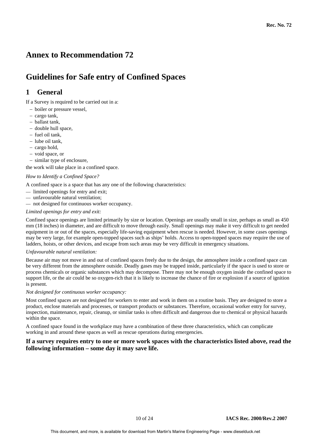# **Annex to Recommendation 72**

# **Guidelines for Safe entry of Confined Spaces**

# **1 General**

If a Survey is required to be carried out in a:

- − boiler or pressure vessel,
- − cargo tank,
- − ballast tank,
- − double hull space,
- − fuel oil tank,
- − lube oil tank,
- − cargo hold,
- − void space, or
- − similar type of enclosure,

the work will take place in a confined space.

#### *How to Identify a Confined Space?*

A confined space is a space that has any one of the following characteristics:

- limited openings for entry and exit;
- unfavourable natural ventilation;
- not designed for continuous worker occupancy.

#### *Limited openings for entry and exit:*

Confined space openings are limited primarily by size or location. Openings are usually small in size, perhaps as small as 450 mm (18 inches) in diameter, and are difficult to move through easily. Small openings may make it very difficult to get needed equipment in or out of the spaces, especially life-saving equipment when rescue is needed. However, in some cases openings may be very large, for example open-topped spaces such as ships' holds. Access to open-topped spaces may require the use of ladders, hoists, or other devices, and escape from such areas may be very difficult in emergency situations.

#### *Unfavourable natural ventilation:*

Because air may not move in and out of confined spaces freely due to the design, the atmosphere inside a confined space can be very different from the atmosphere outside. Deadly gases may be trapped inside, particularly if the space is used to store or process chemicals or organic substances which may decompose. There may not be enough oxygen inside the confined space to support life, or the air could be so oxygen-rich that it is likely to increase the chance of fire or explosion if a source of ignition is present.

#### *Not designed for continuous worker occupancy:*

Most confined spaces are not designed for workers to enter and work in them on a routine basis. They are designed to store a product, enclose materials and processes, or transport products or substances. Therefore, occasional worker entry for survey, inspection, maintenance, repair, cleanup, or similar tasks is often difficult and dangerous due to chemical or physical hazards within the space.

A confined space found in the workplace may have a combination of these three characteristics, which can complicate working in and around these spaces as well as rescue operations during emergencies.

#### **If a survey requires entry to one or more work spaces with the characteristics listed above, read the following information – some day it may save life.**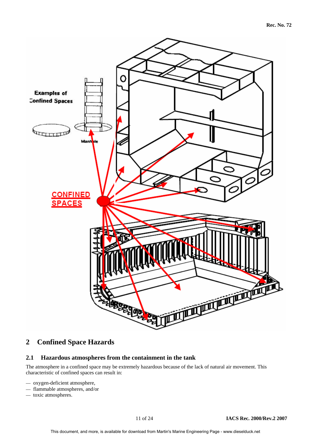

# **2 Confined Space Hazards**

# **2.1 Hazardous atmospheres from the containment in the tank**

The atmosphere in a confined space may be extremely hazardous because of the lack of natural air movement. This characteristic of confined spaces can result in:

- oxygen-deficient atmosphere,
- flammable atmospheres, and/or
- toxic atmospheres.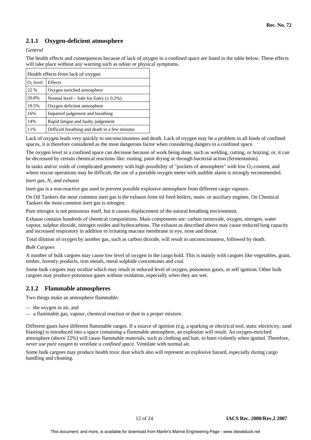# **2.1.1 Oxygen-deficient atmosphere**

#### *General*

The health effects and consequences because of lack of oxygen in a confined space are listed in the table below. These effects will take place without any warning such as odour or physical symptoms.

| Health effects from lack of oxygen |                                                |  |
|------------------------------------|------------------------------------------------|--|
| $O2$ level                         | Effects                                        |  |
| 22 %                               | Oxygen enriched atmosphere                     |  |
| 20.8%                              | Normal level – Safe for Entry $(\pm 0.2\%)$    |  |
| 19.5%                              | Oxygen deficient atmosphere                    |  |
| 16%                                | Impaired judgement and breathing               |  |
| 14%                                | Rapid fatigue and faulty judgement             |  |
| 11%                                | Difficult breathing and death in a few minutes |  |

Lack of oxygen leads very quickly to unconsciousness and death. Lack of oxygen may be a problem in all kinds of confined spaces, it is therefore considered as the most dangerous factor when considering dangers in a confined space.

The oxygen level in a confined space can decrease because of work being done, such as welding, cutting, or brazing; or, it can be decreased by certain chemical reactions like: rusting, paint drying or through bacterial action (fermentation).

In tanks and/or voids of complicated geometry with high possibility of "pockets of atmosphere" with low  $O_2$ -content, and where rescue operations may be difficult, the use of a portable oxygen meter with audible alarm is strongly recommended.

#### *Inert gas, N<sub>2</sub> and exhaust*

Inert gas is a non-reactive gas used to prevent possible explosive atmosphere from different cargo vapours.

On Oil Tankers the most common inert gas is the exhaust from oil fired boilers, main- or auxiliary engines. On Chemical Tankers the most common inert gas is nitrogen.

Pure nitrogen is not poisonous itself, but it causes displacement of the natural breathing environment.

Exhaust contains hundreds of chemical compositions. Main components are: carbon monoxide, oxygen, nitrogen, water vapour, sulphur dioxide, nitrogen oxides and hydrocarbons. The exhaust as described above may cause reduced lung capacity and increased respiratory in addition to irritating mucous membrane in eye, nose and throat.

Total dilution of oxygen by another gas, such as carbon dioxide, will result in unconsciousness, followed by death.

#### *Bulk Cargoes*

A number of bulk cargoes may cause low level of oxygen in the cargo hold. This is mainly with cargoes like vegetables, grain, timber, forestry products, iron metals, metal sulphide concentrates and coal.

Some bulk cargoes may oxidize which may result in reduced level of oxygen, poisonous gases, or self ignition. Other bulk cargoes may produce poisonous gases without oxidation, especially when they are wet.

# **2.1.2 Flammable atmospheres**

Two things make an atmosphere flammable:

- the oxygen in air, and
- a flammable gas, vapour, chemical reaction or dust in a proper mixture.

Different gases have different flammable ranges. If a source of ignition (e.g. a sparking or electrical tool, static electricity, sand blasting) is introduced into a space containing a flammable atmosphere, an explosion will result. An oxygen-enriched atmosphere (above 22%) will cause flammable materials, such as clothing and hair, to burn violently when ignited. Therefore, *never use pure oxygen to ventilate a confined space*. Ventilate with normal air.

Some bulk cargoes may produce health toxic dust which also will represent an explosive hazard, especially during cargo handling and cleaning.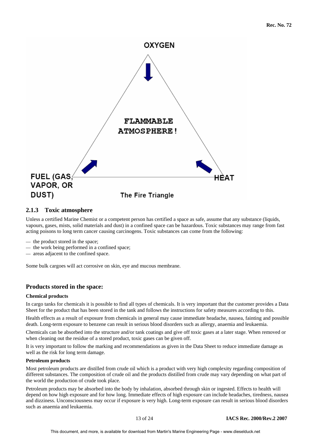

## **2.1.3 Toxic atmosphere**

Unless a certified Marine Chemist or a competent person has certified a space as safe, assume that any substance (liquids, vapours, gases, mists, solid materials and dust) in a confined space can be hazardous. Toxic substances may range from fast acting poisons to long term cancer causing carcinogens. Toxic substances can come from the following:

- the product stored in the space;
- the work being performed in a confined space;
- areas adjacent to the confined space.

Some bulk cargoes will act corrosive on skin, eye and mucous membrane.

#### **Products stored in the space:**

#### **Chemical products**

In cargo tanks for chemicals it is possible to find all types of chemicals. It is very important that the customer provides a Data Sheet for the product that has been stored in the tank and follows the instructions for safety measures according to this.

Health effects as a result of exposure from chemicals in general may cause immediate headache, nausea, fainting and possible death. Long-term exposure to benzene can result in serious blood disorders such as allergy, anaemia and leukaemia.

Chemicals can be absorbed into the structure and/or tank coatings and give off toxic gases at a later stage. When removed or when cleaning out the residue of a stored product, toxic gases can be given off.

It is very important to follow the marking and recommendations as given in the Data Sheet to reduce immediate damage as well as the risk for long term damage.

#### **Petroleum products**

Most petroleum products are distilled from crude oil which is a product with very high complexity regarding composition of different substances. The composition of crude oil and the products distilled from crude may vary depending on what part of the world the production of crude took place.

Petroleum products may be absorbed into the body by inhalation, absorbed through skin or ingested. Effects to health will depend on how high exposure and for how long. Immediate effects of high exposure can include headaches, tiredness, nausea and dizziness. Unconsciousness may occur if exposure is very high. Long-term exposure can result in serious blood disorders such as anaemia and leukaemia.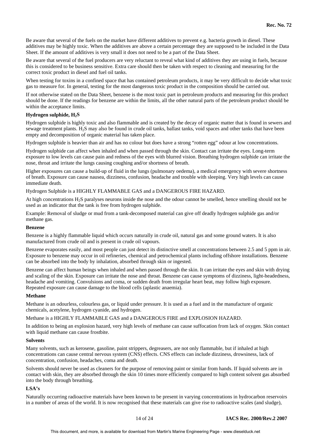Be aware that several of the fuels on the market have different additives to prevent e.g. bacteria growth in diesel. These additives may be highly toxic. When the additives are above a certain percentage they are supposed to be included in the Data Sheet. If the amount of additives is very small it does not need to be a part of the Data Sheet.

Be aware that several of the fuel producers are very reluctant to reveal what kind of additives they are using in fuels, because this is considered to be business sensitive. Extra care should then be taken with respect to cleaning and measuring for the correct toxic product in diesel and fuel oil tanks.

When testing for toxins in a confined space that has contained petroleum products, it may be very difficult to decide what toxic gas to measure for. In general, testing for the most dangerous toxic product in the composition should be carried out.

If not otherwise stated on the Data Sheet, benzene is the most toxic part in petroleum products and measuring for this product should be done. If the readings for benzene are within the limits, all the other natural parts of the petroleum product should be within the acceptance limits.

#### **Hydrogen sulphide, H2S**

Hydrogen sulphide is highly toxic and also flammable and is created by the decay of organic matter that is found in sewers and sewage treatment plants. H2S may also be found in crude oil tanks, ballast tanks, void spaces and other tanks that have been empty and decomposition of organic material has taken place.

Hydrogen sulphide is heavier than air and has no colour but does have a strong "rotten egg" odour at low concentrations.

Hydrogen sulphide can affect when inhaled and when passed through the skin. Contact can irritate the eyes. Long-term exposure to low levels can cause pain and redness of the eyes with blurred vision. Breathing hydrogen sulphide can irritate the nose, throat and irritate the lungs causing coughing and/or shortness of breath.

Higher exposures can cause a build-up of fluid in the lungs (pulmonary oedema), a medical emergency with severe shortness of breath. Exposure can cause nausea, dizziness, confusion, headache and trouble with sleeping. Very high levels can cause immediate death.

Hydrogen Sulphide is a HIGHLY FLAMMABLE GAS and a DANGEROUS FIRE HAZARD.

At high concentrations H2S paralyses neurons inside the nose and the odour cannot be smelled, hence smelling should not be used as an indicator that the tank is free from hydrogen sulphide.

Example: Removal of sludge or mud from a tank-decomposed material can give off deadly hydrogen sulphide gas and/or methane gas.

#### **Benzene**

Benzene is a highly flammable liquid which occurs naturally in crude oil, natural gas and some ground waters. It is also manufactured from crude oil and is present in crude oil vapours.

Benzene evaporates easily, and most people can just detect its distinctive smell at concentrations between 2.5 and 5 ppm in air. Exposure to benzene may occur in oil refineries, chemical and petrochemical plants including offshore installations. Benzene can be absorbed into the body by inhalation, absorbed through skin or ingested.

Benzene can affect human beings when inhaled and when passed through the skin. It can irritate the eyes and skin with drying and scaling of the skin. Exposure can irritate the nose and throat. Benzene can cause symptoms of dizziness, light-headedness, headache and vomiting. Convulsions and coma, or sudden death from irregular heart beat, may follow high exposure. Repeated exposure can cause damage to the blood cells (aplastic anaemia).

#### **Methane**

Methane is an odourless, colourless gas, or liquid under pressure. It is used as a fuel and in the manufacture of organic chemicals, acetylene, hydrogen cyanide, and hydrogen.

#### Methane is a HIGHLY FLAMMABLE GAS and a DANGEROUS FIRE and EXPLOSION HAZARD.

In addition to being an explosion hazard, very high levels of methane can cause suffocation from lack of oxygen. Skin contact with liquid methane can cause frostbite.

#### **Solvents**

Many solvents, such as kerosene, gasoline, paint strippers, degreasers, are not only flammable, but if inhaled at high concentrations can cause central nervous system (CNS) effects. CNS effects can include dizziness, drowsiness, lack of concentration, confusion, headaches, coma and death.

Solvents should never be used as cleaners for the purpose of removing paint or similar from hands. If liquid solvents are in contact with skin, they are absorbed through the skin 10 times more efficiently compared to high content solvent gas absorbed into the body through breathing.

#### **LSA's**

Naturally occurring radioactive materials have been known to be present in varying concentrations in hydrocarbon reservoirs in a number of areas of the world. It is now recognised that these materials can give rise to radioactive scales (and sludge),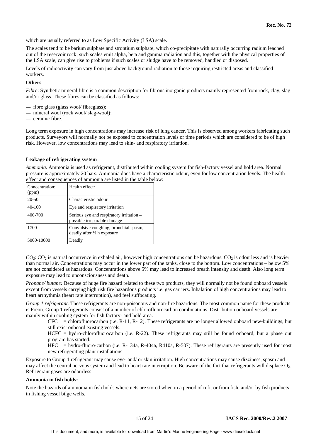which are usually referred to as Low Specific Activity (LSA) scale.

The scales tend to be barium sulphate and strontium sulphate, which co-precipitate with naturally occurring radium leached out of the reservoir rock; such scales emit alpha, beta and gamma radiation and this, together with the physical properties of the LSA scale, can give rise to problems if such scales or sludge have to be removed, handled or disposed.

Levels of radioactivity can vary from just above background radiation to those requiring restricted areas and classified workers.

#### **Others**

*Fibre*: Synthetic mineral fibre is a common description for fibrous inorganic products mainly represented from rock, clay, slag and/or glass. These fibres can be classified as follows:

- fibre glass (glass wool/ fibreglass);
- mineral wool (rock wool/ slag-wool);
- ceramic fibre.

Long term exposure in high concentrations may increase risk of lung cancer. This is observed among workers fabricating such products. Surveyors will normally not be exposed to concentration levels or time periods which are considered to be of high risk. However, low concentrations may lead to skin- and respiratory irritation.

#### **Leakage of refrigerating system**

*Ammonia.* Ammonia is used as refrigerant, distributed within cooling system for fish-factory vessel and hold area. Normal pressure is approximately 20 bars. Ammonia does have a characteristic odour, even for low concentration levels. The health effect and consequences of ammonia are listed in the table below:

| Concentration:<br>(ppm) | Health effect:                                                                 |
|-------------------------|--------------------------------------------------------------------------------|
| $20 - 50$               | Characteristic odour                                                           |
| $40 - 100$              | Eye and respiratory irritation                                                 |
| 400-700                 | Serious eye and respiratory irritation –<br>possible irreparable damage        |
| 1700                    | Convulsive coughing, bronchial spasm,<br>deadly after $\frac{1}{2}$ h exposure |
| 5000-10000              | Deadly                                                                         |

 $CO_2$ :  $CO_2$  is natural occurrence in exhaled air, however high concentrations can be hazardous.  $CO_2$  is odourless and is heavier than normal air. Concentrations may occur in the lower part of the tanks, close to the bottom. Low concentrations – below 5% are not considered as hazardous. Concentrations above 5% may lead to increased breath intensity and death. Also long term exposure may lead to unconsciousness and death.

*Propane/ butane:* Because of huge fire hazard related to these two products, they will normally not be found onboard vessels except from vessels carrying high risk fire hazardous products i.e. gas carriers. Inhalation of high concentrations may lead to heart arrhythmia (heart rate interruption), and feel suffocating.

*Group 1 refrigerant.* These refrigerants are non-poisonous and non-fire hazardous. The most common name for these products is Freon. Group 1 refrigerants consist of a number of chlorofluorocarbon combinations. Distribution onboard vessels are mainly within cooling system for fish factory- and hold area.

 $CFC$  = chlorofluorocarbon (i.e. R-11, R-12). These refrigerants are no longer allowed onboard new-buildings, but still exist onboard existing vessels.

HCFC = hydro-chlorofluorocarbon (i.e. R-22). These refrigerants may still be found onboard, but a phase out program has started.

 $HFC$  = hydro-fluoro-carbon (i.e. R-134a, R-404a, R410a, R-507). These refrigerants are presently used for most new refrigerating plant installations.

Exposure to Group 1 refrigerant may cause eye- and/ or skin irritation. High concentrations may cause dizziness, spasm and may affect the central nervous system and lead to heart rate interruption. Be aware of the fact that refrigerants will displace  $O_2$ . Refrigerant gases are odourless.

#### **Ammonia in fish holds:**

Note the hazards of ammonia in fish holds where nets are stored when in a period of refit or from fish, and/or by fish products in fishing vessel bilge wells.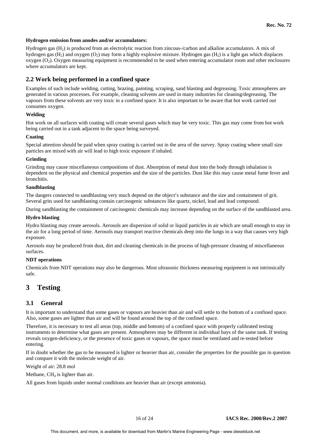#### **Hydrogen emission from anodes and/or accumulators:**

Hydrogen gas (H2) is produced from an electrolytic reaction from zincous-/carbon and alkaline accumulators. A mix of hydrogen gas  $(H_2)$  and oxygen  $(O_2)$  may form a highly explosive mixture. Hydrogen gas  $(H_2)$  is a light gas which displaces oxygen  $(O_2)$ . Oxygen measuring equipment is recommended to be used when entering accumulator room and other enclosures where accumulators are kept.

#### **2.2 Work being performed in a confined space**

Examples of such include welding, cutting, brazing, painting, scraping, sand blasting and degreasing. Toxic atmospheres are generated in various processes. For example, cleaning solvents are used in many industries for cleaning/degreasing. The vapours from these solvents are very toxic in a confined space. It is also important to be aware that hot work carried out consumes oxygen.

#### **Welding**

Hot work on all surfaces with coating will create several gases which may be very toxic. This gas may come from hot work being carried out in a tank adjacent to the space being surveyed.

#### **Coating**

Special attention should be paid when spray coating is carried out in the area of the survey. Spray coating where small size particles are mixed with air will lead to high toxic exposure if inhaled.

#### **Grinding**

Grinding may cause miscellaneous compositions of dust. Absorption of metal dust into the body through inhalation is dependent on the physical and chemical properties and the size of the particles. Dust like this may cause metal fume fever and bronchitis.

#### **Sandblasting**

The dangers connected to sandblasting very much depend on the object's substance and the size and containment of grit. Several grits used for sandblasting contain carcinogenic substances like quartz, nickel, lead and lead compound.

During sandblasting the containment of carcinogenic chemicals may increase depending on the surface of the sandblasted area.

#### **Hydro blasting**

Hydro blasting may create aerosols. Aerosols are dispersion of solid or liquid particles in air which are small enough to stay in the air for a long period of time. Aerosols may transport reactive chemicals deep into the lungs in a way that causes very high exposure.

Aerosols may be produced from dust, dirt and cleaning chemicals in the process of high-pressure cleaning of miscellaneous surfaces.

#### **NDT operations**

Chemicals from NDT operations may also be dangerous. Most ultrasonic thickness measuring equipment is not intrinsically safe.

# **3 Testing**

#### **3.1 General**

It is important to understand that some gases or vapours are heavier than air and will settle to the bottom of a confined space. Also, some gases are lighter than air and will be found around the top of the confined space.

Therefore, it is necessary to test all areas (top, middle and bottom) of a confined space with properly calibrated testing instruments to determine what gases are present. Atmospheres may be different in individual bays of the same tank. If testing reveals oxygen-deficiency, or the presence of toxic gases or vapours, the space must be ventilated and re-tested before entering.

If in doubt whether the gas to be measured is lighter or heavier than air, consider the properties for the possible gas in question and compare it with the molecule weight of air.

Weight of air: 28.8 mol

Methane,  $CH<sub>4</sub>$  is lighter than air.

All gases from liquids under normal conditions are heavier than air (except ammonia).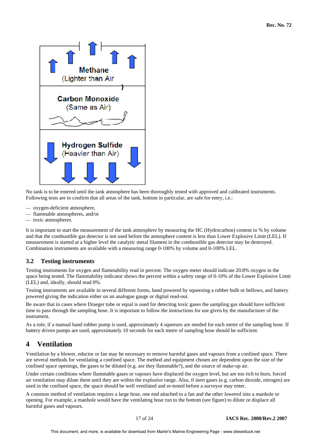

No tank is to be entered until the tank atmosphere has been thoroughly tested with approved and calibrated instruments. Following tests are to confirm that all areas of the tank, bottom in particular, are safe for entry, i.e.:

- oxygen-deficient atmosphere,
- flammable atmospheres, and/or
- toxic atmospheres.

It is important to start the measurement of the tank atmosphere by measuring the HC (Hydrocarbon) content in % by volume and that the combustible gas detector is not used before the atmosphere content is less than Lower Explosive Limit (LEL). If measurement is started at a higher level the catalytic metal filament in the combustible gas detector may be destroyed. Combination instruments are available with a measuring range 0-100% by volume and 0-100% LEL.

## **3.2 Testing instruments**

Testing instruments for oxygen and flammability read in percent. The oxygen meter should indicate 20.8% oxygen in the space being tested. The flammability indicator shows the percent within a safety range of 0-10% of the Lower Explosive Limit (LEL) and, ideally, should read 0%.

Testing instruments are available in several different forms, hand powered by squeezing a rubber bulb or bellows, and battery powered giving the indication either on an analogue gauge or digital read-out.

Be aware that in cases where Draeger tube or equal is used for detecting toxic gases the sampling gas should have sufficient time to pass through the sampling hose. It is important to follow the instructions for use given by the manufacturer of the instrument.

As a rule, if a manual hand rubber pump is used, approximately 4 squeezes are needed for each metre of the sampling hose. If battery driven pumps are used, approximately 10 seconds for each metre of sampling hose should be sufficient.

# **4 Ventilation**

Ventilation by a blower, eductor or fan may be necessary to remove harmful gases and vapours from a confined space. There are several methods for ventilating a confined space. The method and equipment chosen are dependent upon the size of the confined space openings, the gases to be diluted (e.g. are they flammable?), and the source of make-up air.

Under certain conditions where flammable gases or vapours have displaced the oxygen level, but are too rich to burn, forced air ventilation may dilute them until they are within the explosive range. Also, if inert gases (e.g. carbon dioxide, nitrogen) are used in the confined space, the space should be well ventilated and re-tested before a surveyor may enter.

A common method of ventilation requires a large hose, one end attached to a fan and the other lowered into a manhole or opening. For example, a manhole would have the ventilating hose run to the bottom (see figure) to dilute or displace all harmful gases and vapours.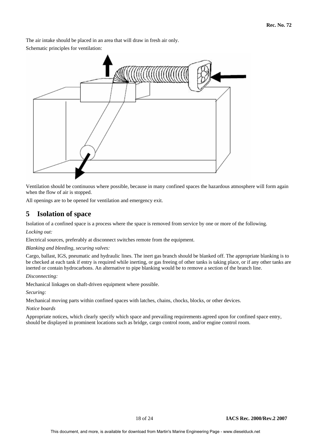The air intake should be placed in an area that will draw in fresh air only.

Schematic principles for ventilation:



Ventilation should be continuous where possible, because in many confined spaces the hazardous atmosphere will form again when the flow of air is stopped.

All openings are to be opened for ventilation and emergency exit.

# **5 Isolation of space**

Isolation of a confined space is a process where the space is removed from service by one or more of the following.

#### *Locking out:*

Electrical sources, preferably at disconnect switches remote from the equipment.

#### *Blanking and bleeding, securing valves:*

Cargo, ballast, IGS, pneumatic and hydraulic lines. The inert gas branch should be blanked off. The appropriate blanking is to be checked at each tank if entry is required while inerting, or gas freeing of other tanks is taking place, or if any other tanks are inerted or contain hydrocarbons. An alternative to pipe blanking would be to remove a section of the branch line.

#### *Disconnecting:*

Mechanical linkages on shaft-driven equipment where possible.

#### *Securing:*

Mechanical moving parts within confined spaces with latches, chains, chocks, blocks, or other devices.

#### *Notice boards*

Appropriate notices, which clearly specify which space and prevailing requirements agreed upon for confined space entry, should be displayed in prominent locations such as bridge, cargo control room, and/or engine control room.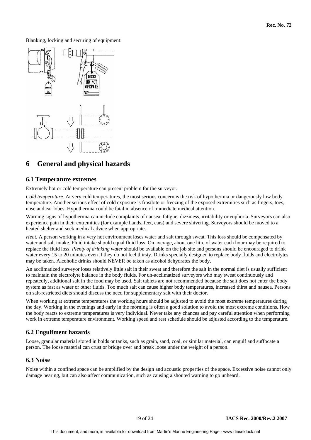Blanking, locking and securing of equipment:



# **6 General and physical hazards**

#### **6.1 Temperature extremes**

Extremely hot or cold temperature can present problem for the surveyor.

*Cold temperature*. At very cold temperatures, the most serious concern is the risk of hypothermia or dangerously low body temperature. Another serious effect of cold exposure is frostbite or freezing of the exposed extremities such as fingers, toes, nose and ear lobes. Hypothermia could be fatal in absence of immediate medical attention.

Warning signs of hypothermia can include complaints of nausea, fatigue, dizziness, irritability or euphoria. Surveyors can also experience pain in their extremities (for example hands, feet, ears) and severe shivering. Surveyors should be moved to a heated shelter and seek medical advice when appropriate.

*Heat.* A person working in a very hot environment loses water and salt through sweat. This loss should be compensated by water and salt intake. Fluid intake should equal fluid loss. On average, about one litre of water each hour may be required to replace the fluid loss. *Plenty of drinking water* should be available on the job site and persons should be encouraged to drink water every 15 to 20 minutes even if they do not feel thirsty. Drinks specially designed to replace body fluids and electrolytes may be taken. Alcoholic drinks should NEVER be taken as alcohol dehydrates the body.

An acclimatized surveyor loses relatively little salt in their sweat and therefore the salt in the normal diet is usually sufficient to maintain the electrolyte balance in the body fluids. For un-acclimatized surveyors who may sweat continuously and repeatedly, additional salt in the food may be used. Salt tablets are not recommended because the salt does not enter the body system as fast as water or other fluids. Too much salt can cause higher body temperatures, increased thirst and nausea. Persons on salt-restricted diets should discuss the need for supplementary salt with their doctor.

When working at extreme temperatures the working hours should be adjusted to avoid the most extreme temperatures during the day. Working in the evenings and early in the morning is often a good solution to avoid the most extreme conditions. How the body reacts to extreme temperatures is very individual. Never take any chances and pay careful attention when performing work in extreme temperature environment. Working speed and rest schedule should be adjusted according to the temperature.

#### **6.2 Engulfment hazards**

Loose, granular material stored in holds or tanks, such as grain, sand, coal, or similar material, can engulf and suffocate a person. The loose material can crust or bridge over and break loose under the weight of a person.

#### **6.3 Noise**

Noise within a confined space can be amplified by the design and acoustic properties of the space. Excessive noise cannot only damage hearing, but can also affect communication, such as causing a shouted warning to go unheard.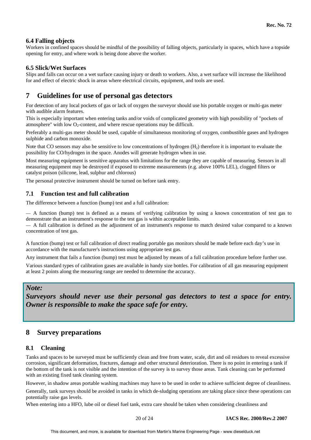#### **6.4 Falling objects**

Workers in confined spaces should be mindful of the possibility of falling objects, particularly in spaces, which have a topside opening for entry, and where work is being done above the worker.

#### **6.5 Slick/Wet Surfaces**

Slips and falls can occur on a wet surface causing injury or death to workers. Also, a wet surface will increase the likelihood for and effect of electric shock in areas where electrical circuits, equipment, and tools are used.

# **7 Guidelines for use of personal gas detectors**

For detection of any local pockets of gas or lack of oxygen the surveyor should use his portable oxygen or multi-gas meter with audible alarm features.

This is especially important when entering tanks and/or voids of complicated geometry with high possibility of "pockets of atmosphere" with low  $O<sub>2</sub>$ -content, and where rescue operations may be difficult.

Preferably a multi-gas meter should be used, capable of simultaneous monitoring of oxygen, combustible gases and hydrogen sulphide and carbon monoxide.

Note that CO sensors may also be sensitive to low concentrations of hydrogen  $(H<sub>2</sub>)$  therefore it is important to evaluate the possibility for CO/hydrogen in the space. Anodes will generate hydrogen when in use.

Most measuring equipment is sensitive apparatus with limitations for the range they are capable of measuring. Sensors in all measuring equipment may be destroyed if exposed to extreme measurements (e.g. above 100% LEL), clogged filters or catalyst poison (silicone, lead, sulphur and chlorous)

The personal protective instrument should be turned on before tank entry.

## **7.1 Function test and full calibration**

The difference between a function (bump) test and a full calibration:

— A function (bump) test is defined as a means of verifying calibration by using a known concentration of test gas to demonstrate that an instrument's response to the test gas is within acceptable limits.

— A full calibration is defined as the adjustment of an instrument's response to match desired value compared to a known concentration of test gas.

A function (bump) test or full calibration of direct reading portable gas monitors should be made before each day's use in accordance with the manufacturer's instructions using appropriate test gas.

Any instrument that fails a function (bump) test must be adjusted by means of a full calibration procedure before further use.

Various standard types of calibration gases are available in handy size bottles. For calibration of all gas measuring equipment at least 2 points along the measuring range are needed to determine the accuracy.

#### *Note:*

*Surveyors should never use their personal gas detectors to test a space for entry. Owner is responsible to make the space safe for entry.*

# **8 Survey preparations**

## **8.1 Cleaning**

Tanks and spaces to be surveyed must be sufficiently clean and free from water, scale, dirt and oil residues to reveal excessive corrosion, significant deformation, fractures, damage and other structural deterioration. There is no point in entering a tank if the bottom of the tank is not visible and the intention of the survey is to survey those areas. Tank cleaning can be performed with an existing fixed tank cleaning system.

However, in shadow areas portable washing machines may have to be used in order to achieve sufficient degree of cleanliness.

Generally, tank surveys should be avoided in tanks in which de-sludging operations are taking place since these operations can potentially raise gas levels.

When entering into a HFO, lube oil or diesel fuel tank, extra care should be taken when considering cleanliness and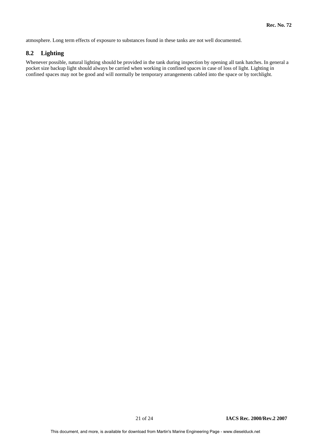atmosphere. Long term effects of exposure to substances found in these tanks are not well documented.

## **8.2 Lighting**

Whenever possible, natural lighting should be provided in the tank during inspection by opening all tank hatches. In general a pocket size backup light should always be carried when working in confined spaces in case of loss of light. Lighting in confined spaces may not be good and will normally be temporary arrangements cabled into the space or by torchlight.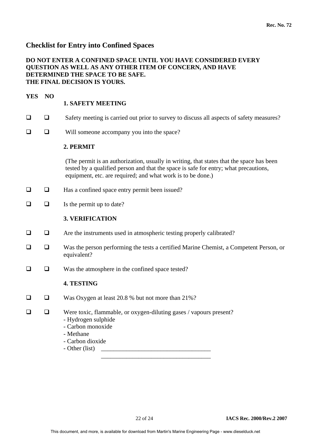# **Checklist for Entry into Confined Spaces**

# **DO NOT ENTER A CONFINED SPACE UNTIL YOU HAVE CONSIDERED EVERY QUESTION AS WELL AS ANY OTHER ITEM OF CONCERN, AND HAVE DETERMINED THE SPACE TO BE SAFE. THE FINAL DECISION IS YOURS.**

# **YES NO**

# **1. SAFETY MEETING**

- $\Box$  Safety meeting is carried out prior to survey to discuss all aspects of safety measures?
- $\Box$  Will someone accompany you into the space?

## **2. PERMIT**

(The permit is an authorization, usually in writing, that states that the space has been tested by a qualified person and that the space is safe for entry; what precautions, equipment, etc. are required; and what work is to be done.)

- $\Box$  Has a confined space entry permit been issued?
- $\Box$  Is the permit up to date?

## **3. VERIFICATION**

- $\Box$  Are the instruments used in atmospheric testing properly calibrated?
- Was the person performing the tests a certified Marine Chemist, a Competent Person, or equivalent?
- $\Box$  Was the atmosphere in the confined space tested?

## **4. TESTING**

□ □ Was Oxygen at least 20.8 % but not more than 21%?

 $\overline{\phantom{a}}$  ,  $\overline{\phantom{a}}$  ,  $\overline{\phantom{a}}$  ,  $\overline{\phantom{a}}$  ,  $\overline{\phantom{a}}$  ,  $\overline{\phantom{a}}$  ,  $\overline{\phantom{a}}$  ,  $\overline{\phantom{a}}$  ,  $\overline{\phantom{a}}$  ,  $\overline{\phantom{a}}$  ,  $\overline{\phantom{a}}$  ,  $\overline{\phantom{a}}$  ,  $\overline{\phantom{a}}$  ,  $\overline{\phantom{a}}$  ,  $\overline{\phantom{a}}$  ,  $\overline{\phantom{a}}$ 

- $\Box$  Were toxic, flammable, or oxygen-diluting gases / vapours present?
	- Hydrogen sulphide - Carbon monoxide
	-
	- Methane
	- Carbon dioxide
	- Other (list) \_\_\_\_\_\_\_\_\_\_\_\_\_\_\_\_\_\_\_\_\_\_\_\_\_\_\_\_\_\_\_\_\_\_\_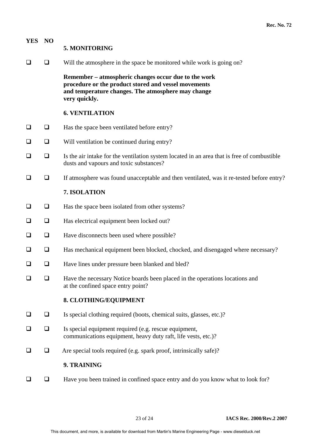| <b>YES</b> | NO     | 5. MONITORING                                                                                                                                                                       |
|------------|--------|-------------------------------------------------------------------------------------------------------------------------------------------------------------------------------------|
|            | $\Box$ | Will the atmosphere in the space be monitored while work is going on?                                                                                                               |
|            |        | Remember – atmospheric changes occur due to the work<br>procedure or the product stored and vessel movements<br>and temperature changes. The atmosphere may change<br>very quickly. |
|            |        | <b>6. VENTILATION</b>                                                                                                                                                               |
| ❏          | $\Box$ | Has the space been ventilated before entry?                                                                                                                                         |
| ❏          | $\Box$ | Will ventilation be continued during entry?                                                                                                                                         |
| ❏          | $\Box$ | Is the air intake for the ventilation system located in an area that is free of combustible<br>dusts and vapours and toxic substances?                                              |
| ❏          | $\Box$ | If atmosphere was found unacceptable and then ventilated, was it re-tested before entry?                                                                                            |
|            |        | 7. ISOLATION                                                                                                                                                                        |
| $\Box$     | $\Box$ | Has the space been isolated from other systems?                                                                                                                                     |
| $\Box$     | $\Box$ | Has electrical equipment been locked out?                                                                                                                                           |
| $\Box$     | $\Box$ | Have disconnects been used where possible?                                                                                                                                          |
| ❏          | $\Box$ | Has mechanical equipment been blocked, chocked, and disengaged where necessary?                                                                                                     |
| ❏          | $\Box$ | Have lines under pressure been blanked and bled?                                                                                                                                    |
| ப          | ❏      | Have the necessary Notice boards been placed in the operations locations and<br>at the confined space entry point?                                                                  |
|            |        | 8. CLOTHING/EQUIPMENT                                                                                                                                                               |
| ⊔          | ❏      | Is special clothing required (boots, chemical suits, glasses, etc.)?                                                                                                                |
| ப          | ❏      | Is special equipment required (e.g. rescue equipment,<br>communications equipment, heavy duty raft, life vests, etc.)?                                                              |
| $\Box$     | $\Box$ | Are special tools required (e.g. spark proof, intrinsically safe)?                                                                                                                  |
|            |        | 9. TRAINING                                                                                                                                                                         |
|            | ❏      | Have you been trained in confined space entry and do you know what to look for?                                                                                                     |